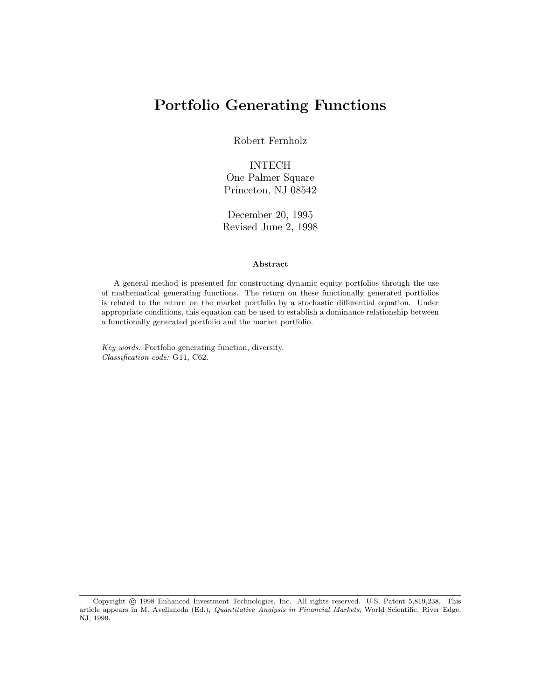# Portfolio Generating Functions

Robert Fernholz

#### INTECH One Palmer Square Princeton, NJ 08542

December 20, 1995 Revised June 2, 1998

#### Abstract

A general method is presented for constructing dynamic equity portfolios through the use of mathematical generating functions. The return on these functionally generated portfolios is related to the return on the market portfolio by a stochastic differential equation. Under appropriate conditions, this equation can be used to establish a dominance relationship between a functionally generated portfolio and the market portfolio.

Key words: Portfolio generating function, diversity. Classification code: G11, C62.

Copyright © 1998 Enhanced Investment Technologies, Inc. All rights reserved. U.S. Patent 5,819,238. This article appears in M. Avellaneda (Ed.), Quantitative Analysis in Financial Markets, World Scientific, River Edge, NJ, 1999.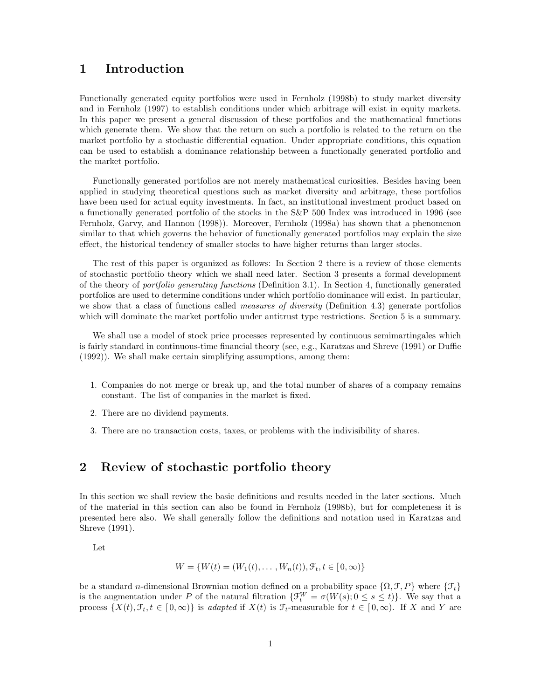#### 1 Introduction

Functionally generated equity portfolios were used in Fernholz (1998b) to study market diversity and in Fernholz (1997) to establish conditions under which arbitrage will exist in equity markets. In this paper we present a general discussion of these portfolios and the mathematical functions which generate them. We show that the return on such a portfolio is related to the return on the market portfolio by a stochastic differential equation. Under appropriate conditions, this equation can be used to establish a dominance relationship between a functionally generated portfolio and the market portfolio.

Functionally generated portfolios are not merely mathematical curiosities. Besides having been applied in studying theoretical questions such as market diversity and arbitrage, these portfolios have been used for actual equity investments. In fact, an institutional investment product based on a functionally generated portfolio of the stocks in the S&P 500 Index was introduced in 1996 (see Fernholz, Garvy, and Hannon (1998)). Moreover, Fernholz (1998a) has shown that a phenomenon similar to that which governs the behavior of functionally generated portfolios may explain the size effect, the historical tendency of smaller stocks to have higher returns than larger stocks.

The rest of this paper is organized as follows: In Section 2 there is a review of those elements of stochastic portfolio theory which we shall need later. Section 3 presents a formal development of the theory of portfolio generating functions (Definition 3.1). In Section 4, functionally generated portfolios are used to determine conditions under which portfolio dominance will exist. In particular, we show that a class of functions called *measures of diversity* (Definition 4.3) generate portfolios which will dominate the market portfolio under antitrust type restrictions. Section 5 is a summary.

We shall use a model of stock price processes represented by continuous semimartingales which is fairly standard in continuous-time financial theory (see, e.g., Karatzas and Shreve (1991) or Duffie (1992)). We shall make certain simplifying assumptions, among them:

- 1. Companies do not merge or break up, and the total number of shares of a company remains constant. The list of companies in the market is fixed.
- 2. There are no dividend payments.
- 3. There are no transaction costs, taxes, or problems with the indivisibility of shares.

#### 2 Review of stochastic portfolio theory

In this section we shall review the basic definitions and results needed in the later sections. Much of the material in this section can also be found in Fernholz (1998b), but for completeness it is presented here also. We shall generally follow the definitions and notation used in Karatzas and Shreve (1991).

Let

$$
W = \{W(t) = (W_1(t), \dots, W_n(t)), \mathcal{F}_t, t \in [0, \infty)\}
$$

be a standard n-dimensional Brownian motion defined on a probability space  $\{\Omega, \mathcal{F}, P\}$  where  $\{\mathcal{F}_t\}$ is the augmentation under P of the natural filtration  $\{\mathfrak{F}_t^W = \sigma(W(s); 0 \le s \le t)\}\$ . We say that a process  $\{X(t), \mathcal{F}_t, t \in [0,\infty)\}\$ is adapted if  $X(t)$  is  $\mathcal{F}_t$ -measurable for  $t \in [0,\infty)$ . If X and Y are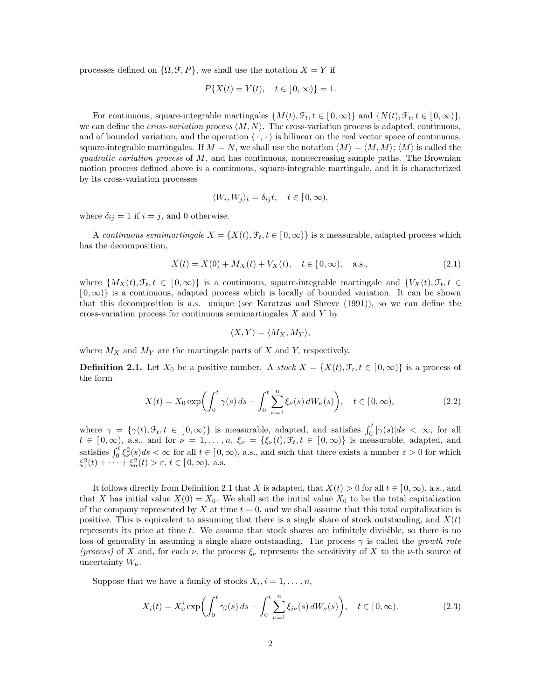processes defined on  $\{\Omega, \mathcal{F}, P\}$ , we shall use the notation  $X = Y$  if

$$
P\{X(t) = Y(t), \quad t \in [0, \infty)\} = 1.
$$

For continuous, square-integrable martingales  $\{M(t), \mathcal{F}_t, t \in [0, \infty)\}\$  and  $\{N(t), \mathcal{F}_t, t \in [0, \infty)\}\$ , we can define the *cross-variation process*  $\langle M, N \rangle$ . The cross-variation process is adapted, continuous, and of bounded variation, and the operation  $\langle \cdot, \cdot \rangle$  is bilinear on the real vector space of continuous, square-integrable martingales. If  $M = N$ , we shall use the notation  $\langle M \rangle = \langle M, M \rangle$ ;  $\langle M \rangle$  is called the quadratic variation process of  $M$ , and has continuous, nondecreasing sample paths. The Brownian motion process defined above is a continuous, square-integrable martingale, and it is characterized by its cross-variation processes

$$
\langle W_i, W_j \rangle_t = \delta_{ij} t, \quad t \in [0, \infty),
$$

where  $\delta_{ij} = 1$  if  $i = j$ , and 0 otherwise.

A continuous semimartingale  $X = \{X(t), \mathcal{F}_t, t \in [0, \infty)\}\$ is a measurable, adapted process which has the decomposition,

$$
X(t) = X(0) + M_X(t) + V_X(t), \quad t \in [0, \infty), \quad \text{a.s.,}
$$
\n(2.1)

where  $\{M_X(t), \mathcal{F}_t, t \in [0, \infty)\}\$ is a continuous, square-integrable martingale and  $\{V_X(t), \mathcal{F}_t, t \in [0, \infty)\}\$  $[0,\infty)$  is a continuous, adapted process which is locally of bounded variation. It can be shown that this decomposition is a.s. unique (see Karatzas and Shreve (1991)), so we can define the cross-variation process for continuous semimartingales  $X$  and  $Y$  by

$$
\langle X, Y \rangle = \langle M_X, M_Y \rangle,
$$

where  $M_X$  and  $M_Y$  are the martingale parts of X and Y, respectively.

**Definition 2.1.** Let  $X_0$  be a positive number. A stock  $X = \{X(t), \mathcal{F}_t, t \in [0, \infty)\}\$ is a process of the form

$$
X(t) = X_0 \exp\left(\int_0^t \gamma(s) \, ds + \int_0^t \sum_{\nu=1}^n \xi_\nu(s) \, dW_\nu(s)\right), \quad t \in [0, \infty),\tag{2.2}
$$

where  $\gamma = {\gamma(t), \mathcal{F}_t, t \in [0, \infty)}$  is measurable, adapted, and satisfies  $\int_0^t |\gamma(s)| ds < \infty$ , for all  $t \in [0,\infty)$ , a.s., and for  $\nu = 1,\ldots,n$ ,  $\xi_{\nu} = {\xi_{\nu}(t), \mathcal{F}_{t}, t \in [0,\infty)}$  is measurable, adapted, and  $v \in [0, \infty)$ , a.s., and for  $v = 1, \ldots, n$ ,  $\zeta_{\nu} = \{\zeta_{\nu}(t), J_t, t \in [0, \infty)\}\$  is measurable, and such satisfies  $\int_0^t \xi_{\nu}^2(s) ds < \infty$  for all  $t \in [0, \infty)$ , a.s., and such that there exists a number  $\varepsilon > 0$  for which  $\xi_1^2(t) + \cdots + \xi_n^2(t) > \varepsilon, t \in [0, \infty), \text{ a.s.}$ 

It follows directly from Definition 2.1 that X is adapted, that  $X(t) > 0$  for all  $t \in [0,\infty)$ , a.s., and that X has initial value  $X(0) = X_0$ . We shall set the initial value  $X_0$  to be the total capitalization of the company represented by X at time  $t = 0$ , and we shall assume that this total capitalization is positive. This is equivalent to assuming that there is a single share of stock outstanding, and  $X(t)$ represents its price at time  $t$ . We assume that stock shares are infinitely divisible, so there is no loss of generality in assuming a single share outstanding. The process  $\gamma$  is called the growth rate (process) of X and, for each  $\nu$ , the process  $\xi_{\nu}$  represents the sensitivity of X to the  $\nu$ -th source of uncertainty  $W_{\nu}$ .

Suppose that we have a family of stocks  $X_i, i = 1, \ldots, n$ ,

$$
X_i(t) = X_0^i \exp\left(\int_0^t \gamma_i(s) \, ds + \int_0^t \sum_{\nu=1}^n \xi_{i\nu}(s) \, dW_{\nu}(s)\right), \quad t \in [0, \infty).
$$
 (2.3)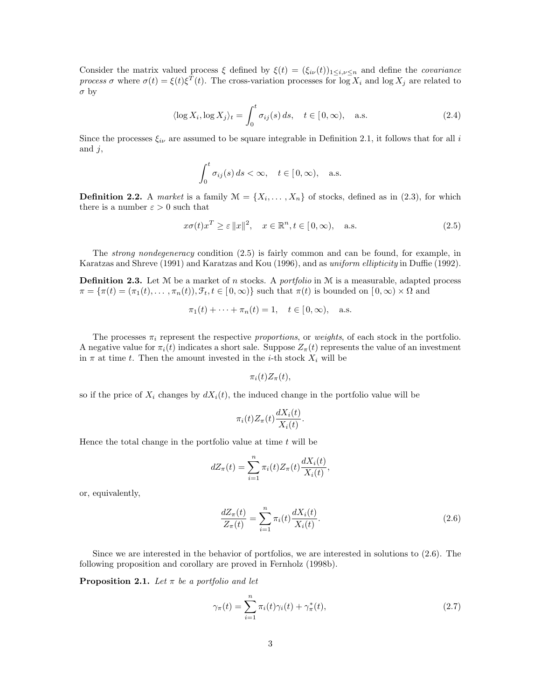Consider the matrix valued process  $\xi$  defined by  $\xi(t) = (\xi_{i\nu}(t))_{1\leq i,\nu\leq n}$  and define the *covariance* process  $\sigma$  where  $\sigma(t) = \xi(t)\xi^{T}(t)$ . The cross-variation processes for  $\log X_i$  and  $\log X_j$  are related to  $\sigma$  by

$$
\langle \log X_i, \log X_j \rangle_t = \int_0^t \sigma_{ij}(s) \, ds, \quad t \in [0, \infty), \quad \text{a.s.} \tag{2.4}
$$

Since the processes  $\xi_{i\nu}$  are assumed to be square integrable in Definition 2.1, it follows that for all i and  $j$ ,

$$
\int_0^t \sigma_{ij}(s) ds < \infty, \quad t \in [0, \infty), \quad \text{a.s.}
$$

**Definition 2.2.** A market is a family  $\mathcal{M} = \{X_1, \ldots, X_n\}$  of stocks, defined as in (2.3), for which there is a number  $\varepsilon > 0$  such that

$$
x\sigma(t)x^T \ge \varepsilon ||x||^2, \quad x \in \mathbb{R}^n, t \in [0, \infty), \quad \text{a.s.}
$$
\n
$$
(2.5)
$$

The strong nondegeneracy condition (2.5) is fairly common and can be found, for example, in Karatzas and Shreve (1991) and Karatzas and Kou (1996), and as *uniform ellipticity* in Duffie (1992).

**Definition 2.3.** Let  $M$  be a market of n stocks. A *portfolio* in  $M$  is a measurable, adapted process  $\pi = {\pi(t) = (\pi_1(t), \dots, \pi_n(t)), \mathcal{F}_t, t \in [0, \infty)}$  such that  $\pi(t)$  is bounded on  $[0, \infty) \times \Omega$  and

$$
\pi_1(t) + \cdots + \pi_n(t) = 1, \quad t \in [0, \infty), \text{ a.s.}
$$

The processes  $\pi_i$  represent the respective proportions, or weights, of each stock in the portfolio. A negative value for  $\pi_i(t)$  indicates a short sale. Suppose  $Z_{\pi}(t)$  represents the value of an investment in  $\pi$  at time t. Then the amount invested in the *i*-th stock  $X_i$  will be

$$
\pi_i(t)Z_{\pi}(t),
$$

so if the price of  $X_i$  changes by  $dX_i(t)$ , the induced change in the portfolio value will be

$$
\pi_i(t)Z_{\pi}(t)\frac{dX_i(t)}{X_i(t)}.
$$

Hence the total change in the portfolio value at time  $t$  will be

$$
dZ_{\pi}(t) = \sum_{i=1}^{n} \pi_i(t) Z_{\pi}(t) \frac{dX_i(t)}{X_i(t)},
$$

or, equivalently,

$$
\frac{dZ_{\pi}(t)}{Z_{\pi}(t)} = \sum_{i=1}^{n} \pi_i(t) \frac{dX_i(t)}{X_i(t)}.
$$
\n(2.6)

Since we are interested in the behavior of portfolios, we are interested in solutions to (2.6). The following proposition and corollary are proved in Fernholz (1998b).

**Proposition 2.1.** Let  $\pi$  be a portfolio and let

$$
\gamma_{\pi}(t) = \sum_{i=1}^{n} \pi_i(t)\gamma_i(t) + \gamma_{\pi}^*(t), \qquad (2.7)
$$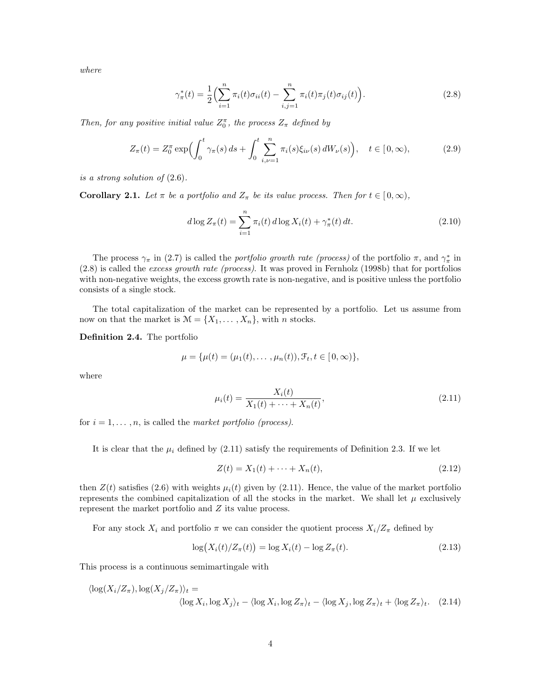where

$$
\gamma_{\pi}^{*}(t) = \frac{1}{2} \Big( \sum_{i=1}^{n} \pi_{i}(t) \sigma_{ii}(t) - \sum_{i,j=1}^{n} \pi_{i}(t) \pi_{j}(t) \sigma_{ij}(t) \Big). \tag{2.8}
$$

Then, for any positive initial value  $Z_0^{\pi}$ , the process  $Z_{\pi}$  defined by

$$
Z_{\pi}(t) = Z_0^{\pi} \exp\left(\int_0^t \gamma_{\pi}(s) \, ds + \int_0^t \sum_{i,\nu=1}^n \pi_i(s) \xi_{i\nu}(s) \, dW_{\nu}(s)\right), \quad t \in [0, \infty), \tag{2.9}
$$

is a strong solution of (2.6).

**Corollary 2.1.** Let  $\pi$  be a portfolio and  $Z_{\pi}$  be its value process. Then for  $t \in [0,\infty)$ ,

$$
d \log Z_{\pi}(t) = \sum_{i=1}^{n} \pi_i(t) d \log X_i(t) + \gamma_{\pi}^*(t) dt.
$$
 (2.10)

The process  $\gamma_{\pi}$  in (2.7) is called the *portfolio growth rate (process)* of the portfolio  $\pi$ , and  $\gamma_{\pi}^*$  in (2.8) is called the excess growth rate (process). It was proved in Fernholz (1998b) that for portfolios with non-negative weights, the excess growth rate is non-negative, and is positive unless the portfolio consists of a single stock.

The total capitalization of the market can be represented by a portfolio. Let us assume from now on that the market is  $\mathcal{M} = \{X_1, \ldots, X_n\}$ , with *n* stocks.

Definition 2.4. The portfolio

$$
\mu = {\mu(t) = (\mu_1(t), \dots, \mu_n(t)), \mathcal{F}_t, t \in [0, \infty)},
$$

where

$$
\mu_i(t) = \frac{X_i(t)}{X_1(t) + \dots + X_n(t)},
$$
\n(2.11)

for  $i = 1, \ldots, n$ , is called the market portfolio (process).

It is clear that the  $\mu_i$  defined by (2.11) satisfy the requirements of Definition 2.3. If we let

$$
Z(t) = X_1(t) + \dots + X_n(t),
$$
\n(2.12)

then  $Z(t)$  satisfies (2.6) with weights  $\mu_i(t)$  given by (2.11). Hence, the value of the market portfolio represents the combined capitalization of all the stocks in the market. We shall let  $\mu$  exclusively represent the market portfolio and  $Z$  its value process.

For any stock  $X_i$  and portfolio  $\pi$  we can consider the quotient process  $X_i/Z_{\pi}$  defined by

$$
\log(X_i(t)/Z_\pi(t)) = \log X_i(t) - \log Z_\pi(t). \tag{2.13}
$$

This process is a continuous semimartingale with

$$
\langle \log(X_i/Z_{\pi}), \log(X_j/Z_{\pi}) \rangle_t = \langle \log X_i, \log X_j \rangle_t - \langle \log X_i, \log Z_{\pi} \rangle_t - \langle \log X_j, \log Z_{\pi} \rangle_t + \langle \log Z_{\pi} \rangle_t. \tag{2.14}
$$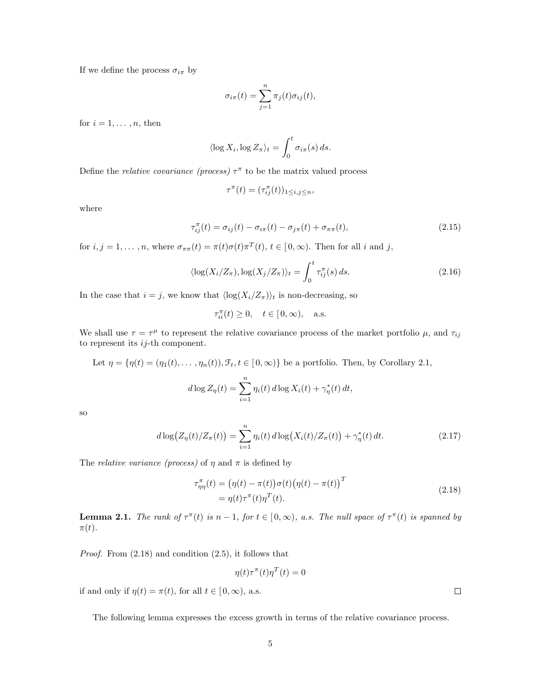If we define the process  $\sigma_{i\pi}$  by

$$
\sigma_{i\pi}(t) = \sum_{j=1}^{n} \pi_j(t)\sigma_{ij}(t),
$$

for  $i = 1, \ldots, n$ , then

$$
\langle \log X_i, \log Z_\pi \rangle_t = \int_0^t \sigma_{i\pi}(s) \, ds.
$$

Define the *relative covariance (process)*  $\tau^{\pi}$  to be the matrix valued process

$$
\tau^{\pi}(t) = (\tau_{ij}^{\pi}(t))_{1 \le i,j \le n},
$$

where

$$
\tau_{ij}^{\pi}(t) = \sigma_{ij}(t) - \sigma_{i\pi}(t) - \sigma_{j\pi}(t) + \sigma_{\pi\pi}(t),
$$
\n(2.15)

for  $i, j = 1, ..., n$ , where  $\sigma_{\pi\pi}(t) = \pi(t)\sigma(t)\pi^{T}(t), t \in [0, \infty)$ . Then for all i and j,

$$
\langle \log(X_i/Z_{\pi}), \log(X_j/Z_{\pi}) \rangle_t = \int_0^t \tau_{ij}^{\pi}(s) \, ds. \tag{2.16}
$$

In the case that  $i = j$ , we know that  $\langle \log(X_i/Z_\pi) \rangle_t$  is non-decreasing, so

$$
\tau_{ii}^{\pi}(t) \ge 0, \quad t \in [\,0,\infty), \quad \text{a.s.}
$$

We shall use  $\tau = \tau^{\mu}$  to represent the relative covariance process of the market portfolio  $\mu$ , and  $\tau_{ij}$ to represent its  $ij$ -th component.

Let  $\eta = {\eta(t) = (\eta_1(t), \dots, \eta_n(t)), \mathcal{F}_t, t \in [0, \infty)}$  be a portfolio. Then, by Corollary 2.1,

$$
d \log Z_{\eta}(t) = \sum_{i=1}^{n} \eta_i(t) d \log X_i(t) + \gamma_{\eta}^*(t) dt,
$$

so

$$
d\log(Z_{\eta}(t)/Z_{\pi}(t)) = \sum_{i=1}^{n} \eta_i(t) d\log(X_i(t)/Z_{\pi}(t)) + \gamma_{\eta}^*(t) dt.
$$
 (2.17)

The *relative variance (process)* of  $\eta$  and  $\pi$  is defined by

$$
\tau_{\eta\eta}^{\pi}(t) = (\eta(t) - \pi(t))\sigma(t)(\eta(t) - \pi(t))^{T}
$$
  
=  $\eta(t)\tau^{\pi}(t)\eta^{T}(t).$  (2.18)

**Lemma 2.1.** The rank of  $\tau^{\pi}(t)$  is  $n-1$ , for  $t \in [0,\infty)$ , a.s. The null space of  $\tau^{\pi}(t)$  is spanned by  $\pi(t)$ .

Proof. From (2.18) and condition (2.5), it follows that

$$
\eta(t)\tau^{\pi}(t)\eta^{T}(t) = 0
$$

if and only if  $\eta(t) = \pi(t)$ , for all  $t \in [0, \infty)$ , a.s.

The following lemma expresses the excess growth in terms of the relative covariance process.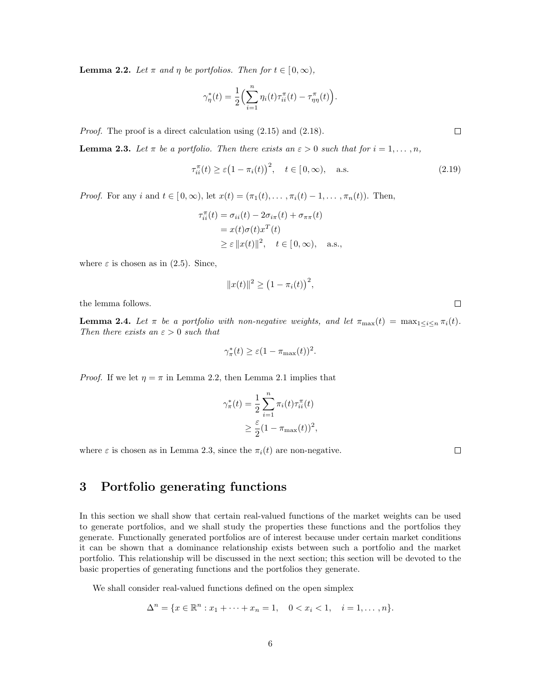**Lemma 2.2.** Let  $\pi$  and  $\eta$  be portfolios. Then for  $t \in [0, \infty)$ ,

$$
\gamma_{\eta}^*(t) = \frac{1}{2} \Big( \sum_{i=1}^n \eta_i(t) \tau_{ii}^{\pi}(t) - \tau_{\eta\eta}^{\pi}(t) \Big).
$$

Proof. The proof is a direct calculation using (2.15) and (2.18).

**Lemma 2.3.** Let  $\pi$  be a portfolio. Then there exists an  $\varepsilon > 0$  such that for  $i = 1, \ldots, n$ ,

$$
\tau_{ii}^{\pi}(t) \ge \varepsilon (1 - \pi_i(t))^2, \quad t \in [0, \infty), \quad \text{a.s.}
$$
 (2.19)

*Proof.* For any i and  $t \in [0,\infty)$ , let  $x(t) = (\pi_1(t), \ldots, \pi_i(t) - 1, \ldots, \pi_n(t))$ . Then,

$$
\tau_{ii}^{\pi}(t) = \sigma_{ii}(t) - 2\sigma_{i\pi}(t) + \sigma_{\pi\pi}(t)
$$
  
=  $x(t)\sigma(t)x^{T}(t)$   
 $\geq \varepsilon ||x(t)||^{2}, \quad t \in [0, \infty), \quad \text{a.s.},$ 

where  $\varepsilon$  is chosen as in (2.5). Since,

$$
||x(t)||^2 \ge (1 - \pi_i(t))^2,
$$

the lemma follows.

**Lemma 2.4.** Let  $\pi$  be a portfolio with non-negative weights, and let  $\pi_{\max}(t) = \max_{1 \leq i \leq n} \pi_i(t)$ . Then there exists an  $\varepsilon > 0$  such that

$$
\gamma_{\pi}^*(t) \ge \varepsilon (1 - \pi_{\max}(t))^2.
$$

*Proof.* If we let  $\eta = \pi$  in Lemma 2.2, then Lemma 2.1 implies that

$$
\gamma_{\pi}^*(t) = \frac{1}{2} \sum_{i=1}^n \pi_i(t) \tau_{ii}^{\pi}(t)
$$

$$
\geq \frac{\varepsilon}{2} (1 - \pi_{\text{max}}(t))^2,
$$

where  $\varepsilon$  is chosen as in Lemma 2.3, since the  $\pi_i(t)$  are non-negative.

 $\Box$ 

 $\Box$ 

### 3 Portfolio generating functions

In this section we shall show that certain real-valued functions of the market weights can be used to generate portfolios, and we shall study the properties these functions and the portfolios they generate. Functionally generated portfolios are of interest because under certain market conditions it can be shown that a dominance relationship exists between such a portfolio and the market portfolio. This relationship will be discussed in the next section; this section will be devoted to the basic properties of generating functions and the portfolios they generate.

We shall consider real-valued functions defined on the open simplex

$$
\Delta^n = \{x \in \mathbb{R}^n : x_1 + \dots + x_n = 1, \quad 0 < x_i < 1, \quad i = 1, \dots, n\}.
$$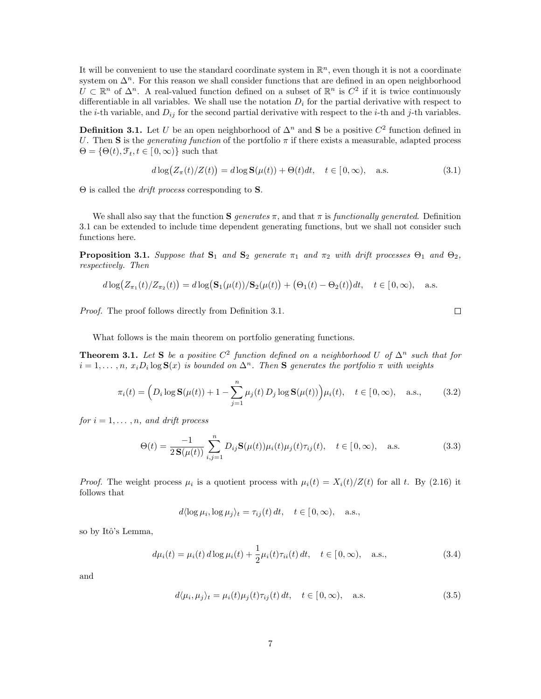It will be convenient to use the standard coordinate system in  $\mathbb{R}^n$ , even though it is not a coordinate system on  $\Delta^n$ . For this reason we shall consider functions that are defined in an open neighborhood  $U \subset \mathbb{R}^n$  of  $\Delta^n$ . A real-valued function defined on a subset of  $\mathbb{R}^n$  is  $C^2$  if it is twice continuously differentiable in all variables. We shall use the notation  $D_i$  for the partial derivative with respect to the *i*-th variable, and  $D_{ij}$  for the second partial derivative with respect to the *i*-th and *j*-th variables.

**Definition 3.1.** Let U be an open neighborhood of  $\Delta^n$  and S be a positive  $C^2$  function defined in U. Then S is the *generating function* of the portfolio  $\pi$  if there exists a measurable, adapted process  $\Theta = \{\Theta(t), \mathcal{F}_t, t \in [0, \infty)\}\$  such that

$$
d\log(Z_{\pi}(t)/Z(t)) = d\log \mathbf{S}(\mu(t)) + \Theta(t)dt, \quad t \in [0, \infty), \quad \text{a.s.}
$$
\n(3.1)

 $\Theta$  is called the *drift process* corresponding to **S**.

We shall also say that the function  $S$  generates  $\pi$ , and that  $\pi$  is functionally generated. Definition 3.1 can be extended to include time dependent generating functions, but we shall not consider such functions here.

**Proposition 3.1.** Suppose that  $S_1$  and  $S_2$  generate  $\pi_1$  and  $\pi_2$  with drift processes  $\Theta_1$  and  $\Theta_2$ , respectively. Then

$$
d \log(Z_{\pi_1}(t)/Z_{\pi_2}(t)) = d \log(\mathbf{S}_1(\mu(t))/\mathbf{S}_2(\mu(t)) + (\Theta_1(t) - \Theta_2(t))dt, \quad t \in [0, \infty), \quad \text{a.s.}
$$

Proof. The proof follows directly from Definition 3.1.

$$
\qquad \qquad \Box
$$

What follows is the main theorem on portfolio generating functions.

**Theorem 3.1.** Let S be a positive  $C^2$  function defined on a neighborhood U of  $\Delta^n$  such that for  $i=1,\ldots,n$ ,  $x_iD_i\log S(x)$  is bounded on  $\Delta^n$ . Then S generates the portfolio  $\pi$  with weights

$$
\pi_i(t) = \left(D_i \log \mathbf{S}(\mu(t)) + 1 - \sum_{j=1}^n \mu_j(t) D_j \log \mathbf{S}(\mu(t))\right) \mu_i(t), \quad t \in [0, \infty), \quad \text{a.s.}, \tag{3.2}
$$

for  $i = 1, \ldots, n$ , and drift process

$$
\Theta(t) = \frac{-1}{2\mathbf{S}(\mu(t))} \sum_{i,j=1}^{n} D_{ij} \mathbf{S}(\mu(t)) \mu_i(t) \mu_j(t) \tau_{ij}(t), \quad t \in [0, \infty), \quad \text{a.s.}
$$
 (3.3)

*Proof.* The weight process  $\mu_i$  is a quotient process with  $\mu_i(t) = X_i(t)/Z(t)$  for all t. By (2.16) it follows that

$$
d\langle \log \mu_i, \log \mu_j \rangle_t = \tau_{ij}(t) dt, \quad t \in [0, \infty), \quad \text{a.s.},
$$

so by Itô's Lemma,

$$
d\mu_i(t) = \mu_i(t) \, d\log \mu_i(t) + \frac{1}{2}\mu_i(t)\tau_{ii}(t) \, dt, \quad t \in [0, \infty), \quad \text{a.s.,}
$$
\n(3.4)

and

$$
d\langle \mu_i, \mu_j \rangle_t = \mu_i(t)\mu_j(t)\tau_{ij}(t) dt, \quad t \in [0, \infty), \quad \text{a.s.}
$$
\n(3.5)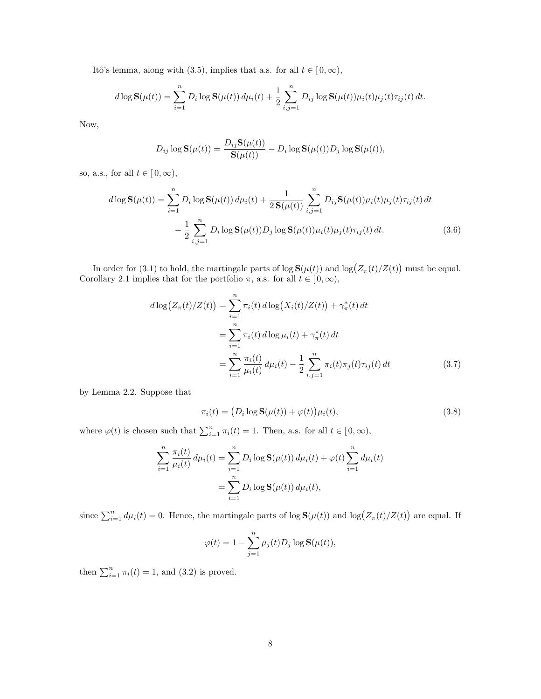Itô's lemma, along with (3.5), implies that a.s. for all  $t \in [0, \infty)$ ,

$$
d \log \mathbf{S}(\mu(t)) = \sum_{i=1}^{n} D_i \log \mathbf{S}(\mu(t)) d\mu_i(t) + \frac{1}{2} \sum_{i,j=1}^{n} D_{ij} \log \mathbf{S}(\mu(t)) \mu_i(t) \mu_j(t) \tau_{ij}(t) dt.
$$

Now,

$$
D_{ij}\log \mathbf{S}(\mu(t)) = \frac{D_{ij}\mathbf{S}(\mu(t))}{\mathbf{S}(\mu(t))} - D_i\log \mathbf{S}(\mu(t))D_j\log \mathbf{S}(\mu(t)),
$$

so, a.s., for all  $t\in [\,0,\infty),$ 

$$
d \log \mathbf{S}(\mu(t)) = \sum_{i=1}^{n} D_i \log \mathbf{S}(\mu(t)) d\mu_i(t) + \frac{1}{2 \mathbf{S}(\mu(t))} \sum_{i,j=1}^{n} D_{ij} \mathbf{S}(\mu(t)) \mu_i(t) \mu_j(t) \tau_{ij}(t) dt - \frac{1}{2} \sum_{i,j=1}^{n} D_i \log \mathbf{S}(\mu(t)) D_j \log \mathbf{S}(\mu(t)) \mu_i(t) \mu_j(t) \tau_{ij}(t) dt.
$$
 (3.6)

In order for (3.1) to hold, the martingale parts of  $\log S(\mu(t))$  and  $\log(Z_{\pi}(t)/Z(t))$ ¢ must be equal. Corollary 2.1 implies that for the portfolio  $\pi$ , a.s. for all  $t \in [0, \infty)$ ,

$$
d \log(Z_{\pi}(t)/Z(t)) = \sum_{i=1}^{n} \pi_i(t) d \log(X_i(t)/Z(t)) + \gamma_{\pi}^*(t) dt
$$
  
= 
$$
\sum_{i=1}^{n} \pi_i(t) d \log \mu_i(t) + \gamma_{\pi}^*(t) dt
$$
  
= 
$$
\sum_{i=1}^{n} \frac{\pi_i(t)}{\mu_i(t)} d\mu_i(t) - \frac{1}{2} \sum_{i,j=1}^{n} \pi_i(t) \pi_j(t) \tau_{ij}(t) dt
$$
(3.7)

by Lemma 2.2. Suppose that

$$
\pi_i(t) = \left(D_i \log \mathbf{S}(\mu(t)) + \varphi(t)\right) \mu_i(t),\tag{3.8}
$$

where  $\varphi(t)$  is chosen such that  $\sum_{i=1}^{n} \pi_i(t) = 1$ . Then, a.s. for all  $t \in [0, \infty)$ ,

$$
\sum_{i=1}^{n} \frac{\pi_i(t)}{\mu_i(t)} d\mu_i(t) = \sum_{i=1}^{n} D_i \log \mathbf{S}(\mu(t)) d\mu_i(t) + \varphi(t) \sum_{i=1}^{n} d\mu_i(t)
$$

$$
= \sum_{i=1}^{n} D_i \log \mathbf{S}(\mu(t)) d\mu_i(t),
$$

since  $\sum_{i=1}^{n} d\mu_i(t) = 0$ . Hence, the martingale parts of  $\log S(\mu(t))$  and  $\log(Z_\pi(t)/Z(t))$ ¢ are equal. If

$$
\varphi(t) = 1 - \sum_{j=1}^{n} \mu_j(t) D_j \log \mathbf{S}(\mu(t)),
$$

then  $\sum_{i=1}^{n} \pi_i(t) = 1$ , and (3.2) is proved.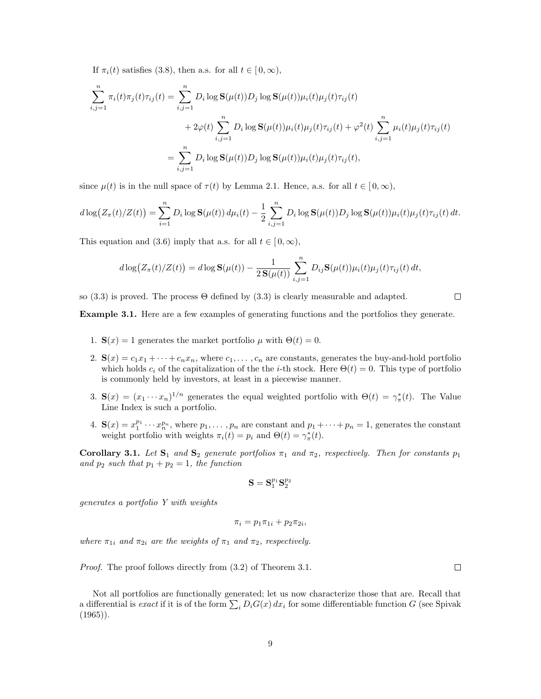If  $\pi_i(t)$  satisfies (3.8), then a.s. for all  $t \in [0,\infty)$ ,

$$
\sum_{i,j=1}^{n} \pi_i(t)\pi_j(t)\tau_{ij}(t) = \sum_{i,j=1}^{n} D_i \log \mathbf{S}(\mu(t))D_j \log \mathbf{S}(\mu(t))\mu_i(t)\mu_j(t)\tau_{ij}(t) \n+ 2\varphi(t)\sum_{i,j=1}^{n} D_i \log \mathbf{S}(\mu(t))\mu_i(t)\mu_j(t)\tau_{ij}(t) + \varphi^2(t)\sum_{i,j=1}^{n} \mu_i(t)\mu_j(t)\tau_{ij}(t) \n= \sum_{i,j=1}^{n} D_i \log \mathbf{S}(\mu(t))D_j \log \mathbf{S}(\mu(t))\mu_i(t)\mu_j(t)\tau_{ij}(t),
$$

since  $\mu(t)$  is in the null space of  $\tau(t)$  by Lemma 2.1. Hence, a.s. for all  $t \in [0,\infty)$ ,

$$
d\log(Z_{\pi}(t)/Z(t)) = \sum_{i=1}^{n} D_i \log \mathbf{S}(\mu(t)) d\mu_i(t) - \frac{1}{2} \sum_{i,j=1}^{n} D_i \log \mathbf{S}(\mu(t)) D_j \log \mathbf{S}(\mu(t)) \mu_i(t) \mu_j(t) \tau_{ij}(t) dt.
$$

This equation and (3.6) imply that a.s. for all  $t \in [0, \infty)$ ,

$$
d\log(Z_{\pi}(t)/Z(t)) = d\log \mathbf{S}(\mu(t)) - \frac{1}{2\mathbf{S}(\mu(t))}\sum_{i,j=1}^n D_{ij}\mathbf{S}(\mu(t))\mu_i(t)\mu_j(t)\tau_{ij}(t) dt,
$$

so  $(3.3)$  is proved. The process  $\Theta$  defined by  $(3.3)$  is clearly measurable and adapted.

Example 3.1. Here are a few examples of generating functions and the portfolios they generate.

- 1.  $\mathbf{S}(x) = 1$  generates the market portfolio  $\mu$  with  $\Theta(t) = 0$ .
- 2.  $\mathbf{S}(x) = c_1x_1 + \cdots + c_nx_n$ , where  $c_1, \ldots, c_n$  are constants, generates the buy-and-hold portfolio which holds  $c_i$  of the capitalization of the the *i*-th stock. Here  $\Theta(t) = 0$ . This type of portfolio is commonly held by investors, at least in a piecewise manner.
- 3.  $\mathbf{S}(x) = (x_1 \cdots x_n)^{1/n}$  generates the equal weighted portfolio with  $\Theta(t) = \gamma_{\pi}^*(t)$ . The Value Line Index is such a portfolio.
- 4.  $\mathbf{S}(x) = x_1^{p_1} \cdots x_n^{p_n}$ , where  $p_1, \ldots, p_n$  are constant and  $p_1 + \cdots + p_n = 1$ , generates the constant weight portfolio with weights  $\pi_i(t) = p_i$  and  $\Theta(t) = \gamma_{\pi}^*(t)$ .

Corollary 3.1. Let  $S_1$  and  $S_2$  generate portfolios  $\pi_1$  and  $\pi_2$ , respectively. Then for constants  $p_1$ and  $p_2$  such that  $p_1 + p_2 = 1$ , the function

$$
\mathbf{S} = \mathbf{S}_1^{p_1} \mathbf{S}_2^{p_2}
$$

generates a portfolio Y with weights

$$
\pi_i = p_1 \pi_{1i} + p_2 \pi_{2i},
$$

where  $\pi_{1i}$  and  $\pi_{2i}$  are the weights of  $\pi_1$  and  $\pi_2$ , respectively.

Proof. The proof follows directly from (3.2) of Theorem 3.1.

 $\Box$ 

 $\Box$ 

Not all portfolios are functionally generated; let us now characterize those that are. Recall that Not an portionos are functionally generated; let us now characterize those that are. Recall that a differential is *exact* if it is of the form  $\sum_i D_i G(x) dx_i$  for some differentiable function G (see Spivak  $(1965)$ .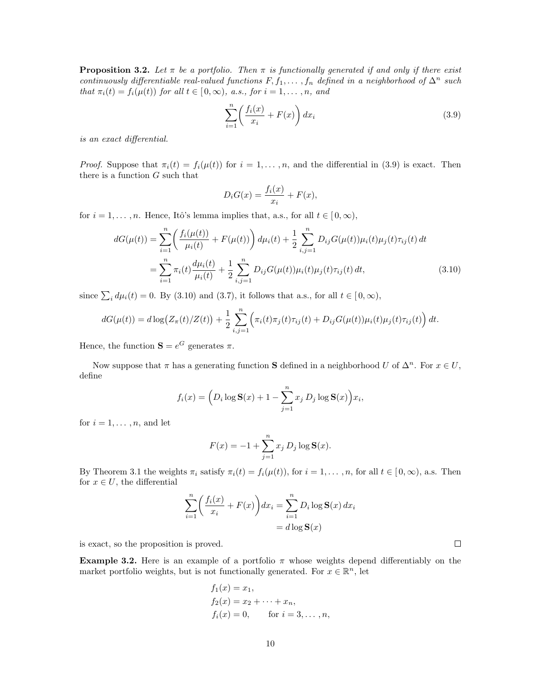**Proposition 3.2.** Let  $\pi$  be a portfolio. Then  $\pi$  is functionally generated if and only if there exist continuously differentiable real-valued functions  $F, f_1, \ldots, f_n$  defined in a neighborhood of  $\Delta^n$  such that  $\pi_i(t) = f_i(\mu(t))$  for all  $t \in [0, \infty)$ , a.s., for  $i = 1, ..., n$ , and

$$
\sum_{i=1}^{n} \left( \frac{f_i(x)}{x_i} + F(x) \right) dx_i \tag{3.9}
$$

is an exact differential.

*Proof.* Suppose that  $\pi_i(t) = f_i(\mu(t))$  for  $i = 1, ..., n$ , and the differential in (3.9) is exact. Then there is a function  $G$  such that

$$
D_i G(x) = \frac{f_i(x)}{x_i} + F(x),
$$

for  $i = 1, \ldots, n$ . Hence, Itô's lemma implies that, a.s., for all  $t \in [0, \infty)$ ,

$$
dG(\mu(t)) = \sum_{i=1}^{n} \left( \frac{f_i(\mu(t))}{\mu_i(t)} + F(\mu(t)) \right) d\mu_i(t) + \frac{1}{2} \sum_{i,j=1}^{n} D_{ij} G(\mu(t)) \mu_i(t) \mu_j(t) \tau_{ij}(t) dt
$$
  

$$
= \sum_{i=1}^{n} \pi_i(t) \frac{d\mu_i(t)}{\mu_i(t)} + \frac{1}{2} \sum_{i,j=1}^{n} D_{ij} G(\mu(t)) \mu_i(t) \mu_j(t) \tau_{ij}(t) dt,
$$
 (3.10)

since  $\sum_i d\mu_i(t) = 0$ . By (3.10) and (3.7), it follows that a.s., for all  $t \in [0, \infty)$ ,

$$
dG(\mu(t)) = d \log \left( Z_{\pi}(t) / Z(t) \right) + \frac{1}{2} \sum_{i,j=1}^{n} \left( \pi_i(t) \pi_j(t) \tau_{ij}(t) + D_{ij} G(\mu(t)) \mu_i(t) \mu_j(t) \tau_{ij}(t) \right) dt.
$$

Hence, the function  $\mathbf{S} = e^G$  generates  $\pi$ .

Now suppose that  $\pi$  has a generating function S defined in a neighborhood U of  $\Delta^n$ . For  $x \in U$ , define

$$
f_i(x) = \left(D_i \log \mathbf{S}(x) + 1 - \sum_{j=1}^n x_j D_j \log \mathbf{S}(x)\right) x_i,
$$

for  $i = 1, \ldots, n$ , and let

$$
F(x) = -1 + \sum_{j=1}^{n} x_j D_j \log S(x).
$$

By Theorem 3.1 the weights  $\pi_i$  satisfy  $\pi_i(t) = f_i(\mu(t))$ , for  $i = 1, ..., n$ , for all  $t \in [0, \infty)$ , a.s. Then for  $x \in U$ , the differential

$$
\sum_{i=1}^{n} \left( \frac{f_i(x)}{x_i} + F(x) \right) dx_i = \sum_{i=1}^{n} D_i \log \mathbf{S}(x) dx_i
$$

$$
= d \log \mathbf{S}(x)
$$

is exact, so the proposition is proved.

**Example 3.2.** Here is an example of a portfolio  $\pi$  whose weights depend differentiably on the market portfolio weights, but is not functionally generated. For  $x \in \mathbb{R}^n$ , let

$$
f_1(x) = x_1,
$$
  
\n $f_2(x) = x_2 + \cdots + x_n,$   
\n $f_i(x) = 0,$  for  $i = 3, \ldots, n,$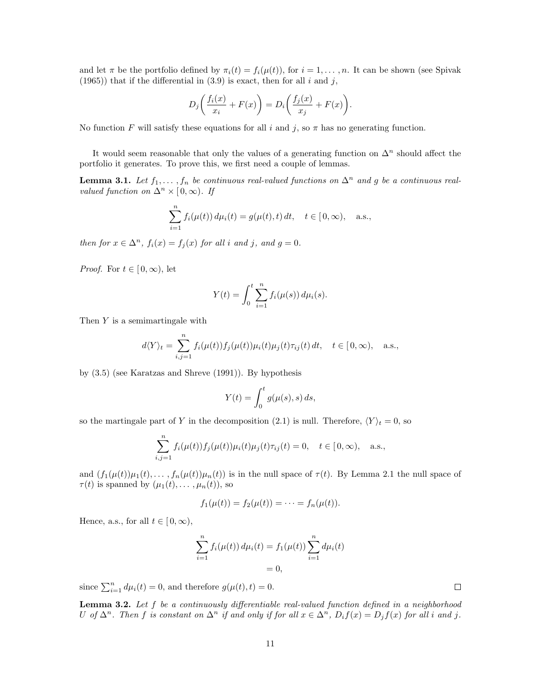and let  $\pi$  be the portfolio defined by  $\pi_i(t) = f_i(\mu(t))$ , for  $i = 1, \ldots, n$ . It can be shown (see Spivak (1965)) that if the differential in  $(3.9)$  is exact, then for all i and j,

$$
D_j\bigg(\frac{f_i(x)}{x_i} + F(x)\bigg) = D_i\bigg(\frac{f_j(x)}{x_j} + F(x)\bigg).
$$

No function F will satisfy these equations for all i and j, so  $\pi$  has no generating function.

It would seem reasonable that only the values of a generating function on  $\Delta^n$  should affect the portfolio it generates. To prove this, we first need a couple of lemmas.

**Lemma 3.1.** Let  $f_1, \ldots, f_n$  be continuous real-valued functions on  $\Delta^n$  and g be a continuous realvalued function on  $\Delta^n \times [0,\infty)$ . If

$$
\sum_{i=1}^{n} f_i(\mu(t)) d\mu_i(t) = g(\mu(t), t) dt, \quad t \in [0, \infty), \quad \text{a.s.},
$$

then for  $x \in \Delta^n$ ,  $f_i(x) = f_i(x)$  for all i and j, and  $g = 0$ .

*Proof.* For  $t \in [0, \infty)$ , let

$$
Y(t) = \int_0^t \sum_{i=1}^n f_i(\mu(s)) d\mu_i(s).
$$

Then Y is a semimartingale with

$$
d\langle Y \rangle_t = \sum_{i,j=1}^n f_i(\mu(t)) f_j(\mu(t)) \mu_i(t) \mu_j(t) \tau_{ij}(t) dt, \quad t \in [0, \infty), \quad \text{a.s.},
$$

by (3.5) (see Karatzas and Shreve (1991)). By hypothesis

$$
Y(t) = \int_0^t g(\mu(s), s) \, ds,
$$

so the martingale part of Y in the decomposition (2.1) is null. Therefore,  $\langle Y \rangle_t = 0$ , so

$$
\sum_{i,j=1}^n f_i(\mu(t)) f_j(\mu(t)) \mu_i(t) \mu_j(t) \tau_{ij}(t) = 0, \quad t \in [0, \infty), \quad \text{a.s.},
$$

and  $(f_1(\mu(t))\mu_1(t),\ldots,f_n(\mu(t))\mu_n(t))$  is in the null space of  $\tau(t)$ . By Lemma 2.1 the null space of  $\tau(t)$  is spanned by  $(\mu_1(t), \ldots, \mu_n(t))$ , so

$$
f_1(\mu(t)) = f_2(\mu(t)) = \cdots = f_n(\mu(t)).
$$

Hence, a.s., for all  $t \in [0, \infty)$ ,

$$
\sum_{i=1}^{n} f_i(\mu(t)) d\mu_i(t) = f_1(\mu(t)) \sum_{i=1}^{n} d\mu_i(t)
$$

$$
= 0,
$$

since  $\sum_{i=1}^{n} d\mu_i(t) = 0$ , and therefore  $g(\mu(t), t) = 0$ .

**Lemma 3.2.** Let  $f$  be a continuously differentiable real-valued function defined in a neighborhood U of  $\Delta^n$ . Then f is constant on  $\Delta^n$  if and only if for all  $x \in \Delta^n$ ,  $D_i f(x) = D_j f(x)$  for all i and j.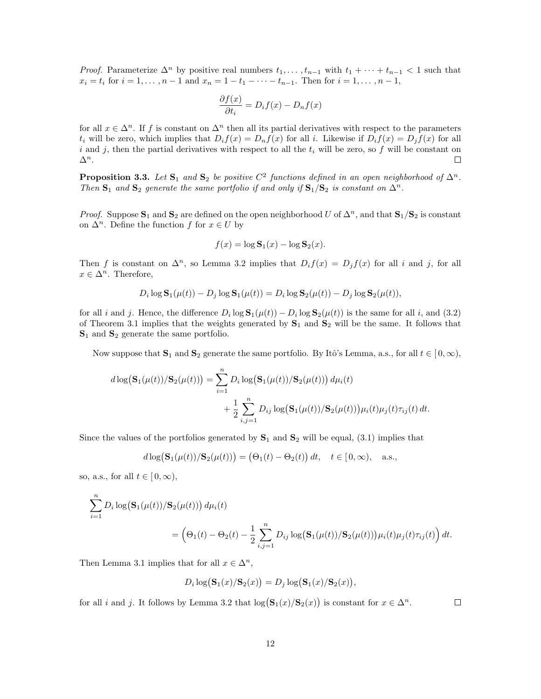*Proof.* Parameterize  $\Delta^n$  by positive real numbers  $t_1, \ldots, t_{n-1}$  with  $t_1 + \cdots + t_{n-1} < 1$  such that  $x_i = t_i$  for  $i = 1, ..., n - 1$  and  $x_n = 1 - t_1 - ... - t_{n-1}$ . Then for  $i = 1, ..., n - 1$ ,

$$
\frac{\partial f(x)}{\partial t_i} = D_i f(x) - D_n f(x)
$$

for all  $x \in \Delta^n$ . If f is constant on  $\Delta^n$  then all its partial derivatives with respect to the parameters  $t_i$  will be zero, which implies that  $D_i f(x) = D_{i} f(x)$  for all i. Likewise if  $D_i f(x) = D_i f(x)$  for all i and j, then the partial derivatives with respect to all the  $t_i$  will be zero, so f will be constant on  $\Delta^n$ .  $\Box$ 

**Proposition 3.3.** Let  $S_1$  and  $S_2$  be positive  $C^2$  functions defined in an open neighborhood of  $\Delta^n$ . Then  $S_1$  and  $S_2$  generate the same portfolio if and only if  $S_1/S_2$  is constant on  $\Delta^n$ .

*Proof.* Suppose  $S_1$  and  $S_2$  are defined on the open neighborhood U of  $\Delta^n$ , and that  $S_1/S_2$  is constant on  $\Delta^n$ . Define the function f for  $x \in U$  by

$$
f(x) = \log \mathbf{S}_1(x) - \log \mathbf{S}_2(x).
$$

Then f is constant on  $\Delta^n$ , so Lemma 3.2 implies that  $D_i f(x) = D_j f(x)$  for all i and j, for all  $x \in \Delta^n$ . Therefore,

$$
D_i \log \mathbf{S}_1(\mu(t)) - D_j \log \mathbf{S}_1(\mu(t)) = D_i \log \mathbf{S}_2(\mu(t)) - D_j \log \mathbf{S}_2(\mu(t)),
$$

for all i and j. Hence, the difference  $D_i \log S_1(\mu(t)) - D_i \log S_2(\mu(t))$  is the same for all i, and (3.2) of Theorem 3.1 implies that the weights generated by  $S_1$  and  $S_2$  will be the same. It follows that  $S_1$  and  $S_2$  generate the same portfolio.

Now suppose that  $S_1$  and  $S_2$  generate the same portfolio. By Itô's Lemma, a.s., for all  $t \in [0, \infty)$ ,

$$
d \log(\mathbf{S}_1(\mu(t))/\mathbf{S}_2(\mu(t))) = \sum_{i=1}^n D_i \log(\mathbf{S}_1(\mu(t))/\mathbf{S}_2(\mu(t))) d\mu_i(t) + \frac{1}{2} \sum_{i,j=1}^n D_{ij} \log(\mathbf{S}_1(\mu(t))/\mathbf{S}_2(\mu(t))) \mu_i(t) \mu_j(t) \tau_{ij}(t) dt.
$$

Since the values of the portfolios generated by  $S_1$  and  $S_2$  will be equal, (3.1) implies that

$$
d \log(\mathbf{S}_1(\mu(t))/\mathbf{S}_2(\mu(t))) = (\Theta_1(t) - \Theta_2(t)) dt, \quad t \in [0, \infty), \quad \text{a.s.},
$$

so, a.s., for all  $t \in [0, \infty)$ ,

$$
\sum_{i=1}^{n} D_i \log (\mathbf{S}_1(\mu(t))/\mathbf{S}_2(\mu(t))) d\mu_i(t)
$$
  
=  $(\Theta_1(t) - \Theta_2(t) - \frac{1}{2} \sum_{i,j=1}^{n} D_{ij} \log (\mathbf{S}_1(\mu(t))/\mathbf{S}_2(\mu(t))) \mu_i(t) \mu_j(t) \tau_{ij}(t)) dt.$ 

Then Lemma 3.1 implies that for all  $x \in \Delta^n$ ,

$$
D_i \log(\mathbf{S}_1(x)/\mathbf{S}_2(x)) = D_j \log(\mathbf{S}_1(x)/\mathbf{S}_2(x)),
$$

for all *i* and *j*. It follows by Lemma 3.2 that  $\log(S_1(x)/S_2(x))$ ) is constant for  $x \in \Delta^n$ .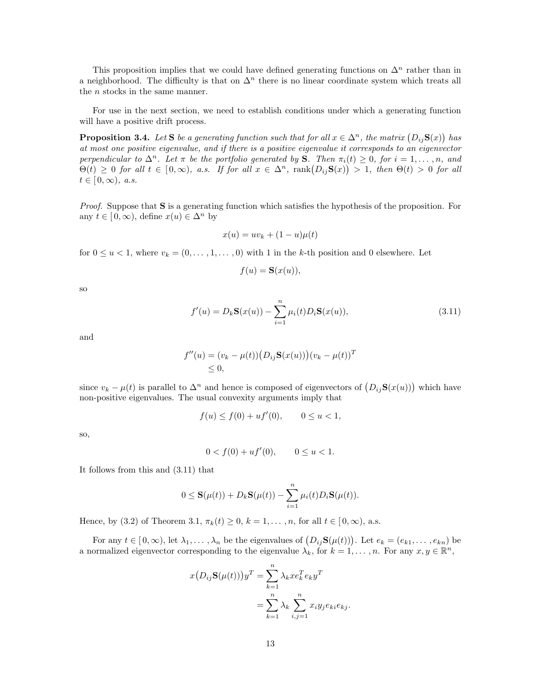This proposition implies that we could have defined generating functions on  $\Delta^n$  rather than in a neighborhood. The difficulty is that on  $\Delta^n$  there is no linear coordinate system which treats all the *n* stocks in the same manner.

For use in the next section, we need to establish conditions under which a generating function will have a positive drift process.

**Proposition 3.4.** Let **S** be a generating function such that for all  $x \in \Delta^n$ , the matrix  $(D_{ij}S(x))$ ¢ has at most one positive eigenvalue, and if there is a positive eigenvalue it corresponds to an eigenvector perpendicular to  $\Delta^n$ . Let  $\pi$  be the portfolio generated by S. Then  $\pi_i(t) \geq 0$ , for  $i = 1, \ldots, n$ , and perpenaicular to  $\Delta^{\infty}$ . Let  $\pi$  be the portfolio generated by S. Then  $\pi_i(t) \geq 0$ , for  $i = 1, \ldots, n$ , and  $\Theta(t) \geq 0$  for all  $t \in [0, \infty)$ , a.s. If for all  $x \in \Delta^n$ ,  $\text{rank}(D_{ij}S(x)) > 1$ , then  $\Theta(t) > 0$  for all  $t \in [0,\infty)$ , a.s.

Proof. Suppose that S is a generating function which satisfies the hypothesis of the proposition. For any  $t \in [0, \infty)$ , define  $x(u) \in \Delta^n$  by

$$
x(u) = uv_k + (1 - u)\mu(t)
$$

for  $0 \le u < 1$ , where  $v_k = (0, \ldots, 1, \ldots, 0)$  with 1 in the k-th position and 0 elsewhere. Let

$$
f(u) = \mathbf{S}(x(u)),
$$

so

$$
f'(u) = D_k \mathbf{S}(x(u)) - \sum_{i=1}^n \mu_i(t) D_i \mathbf{S}(x(u)),
$$
\n(3.11)

and

$$
f''(u) = (v_k - \mu(t)) (D_{ij} \mathbf{S}(x(u)))(v_k - \mu(t))^T
$$
  
  $\leq 0,$ 

since  $v_k - \mu(t)$  is parallel to  $\Delta^n$  and hence is composed of eigenvectors of  $(D_{ij}S(x(u)))$  which have non-positive eigenvalues. The usual convexity arguments imply that

$$
f(u) \le f(0) + uf'(0), \qquad 0 \le u < 1,
$$

so,

$$
0 < f(0) + uf'(0), \qquad 0 \le u < 1.
$$

It follows from this and (3.11) that

$$
0 \leq \mathbf{S}(\mu(t)) + D_k \mathbf{S}(\mu(t)) - \sum_{i=1}^n \mu_i(t) D_i \mathbf{S}(\mu(t)).
$$

Hence, by (3.2) of Theorem 3.1,  $\pi_k(t) \geq 0$ ,  $k = 1, \ldots, n$ , for all  $t \in [0, \infty)$ , a.s.

For any  $t \in [0, \infty)$ , let  $\lambda_1, \ldots, \lambda_n$  be the eigenvalues of  $(D_{ij} \mathbf{S}(\mu(t)))$ . Let  $e_k = (e_{k1}, \ldots, e_{kn})$  be a normalized eigenvector corresponding to the eigenvalue  $\lambda_k$ , for  $k = 1, \ldots, n$ . For any  $x, y \in \mathbb{R}^n$ ,

$$
x(D_{ij}\mathbf{S}(\mu(t)))y^T = \sum_{k=1}^n \lambda_k x e_k^T e_k y^T
$$
  
= 
$$
\sum_{k=1}^n \lambda_k \sum_{i,j=1}^n x_i y_j e_{ki} e_{kj}.
$$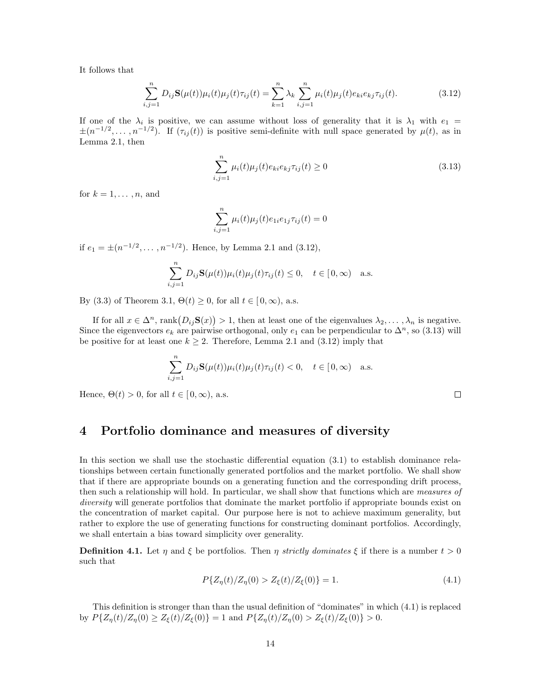It follows that

$$
\sum_{i,j=1}^{n} D_{ij} \mathbf{S}(\mu(t)) \mu_i(t) \mu_j(t) \tau_{ij}(t) = \sum_{k=1}^{n} \lambda_k \sum_{i,j=1}^{n} \mu_i(t) \mu_j(t) e_{ki} e_{kj} \tau_{ij}(t).
$$
 (3.12)

If one of the  $\lambda_i$  is positive, we can assume without loss of generality that it is  $\lambda_1$  with  $e_1$  =  $\pm(n^{-1/2},\ldots,n^{-1/2})$ . If  $(\tau_{ij}(t))$  is positive semi-definite with null space generated by  $\mu(t)$ , as in Lemma 2.1, then

$$
\sum_{i,j=1}^{n} \mu_i(t)\mu_j(t)e_{ki}e_{kj}\tau_{ij}(t) \ge 0
$$
\n(3.13)

for  $k = 1, \ldots, n$ , and

$$
\sum_{i,j=1}^{n} \mu_i(t)\mu_j(t)e_{1i}e_{1j}\tau_{ij}(t) = 0
$$

if  $e_1 = \pm (n^{-1/2}, \dots, n^{-1/2})$ . Hence, by Lemma 2.1 and (3.12),

$$
\sum_{i,j=1}^{n} D_{ij} \mathbf{S}(\mu(t)) \mu_i(t) \mu_j(t) \tau_{ij}(t) \le 0, \quad t \in [0, \infty) \quad \text{a.s.}
$$

By (3.3) of Theorem 3.1,  $\Theta(t) \geq 0$ , for all  $t \in [0, \infty)$ , a.s.

If for all  $x \in \Delta^n$ , rank $(D_{ij}S(x))$ ¢  $> 1$ , then at least one of the eigenvalues  $\lambda_2, \ldots, \lambda_n$  is negative. Since the eigenvectors  $e_k$  are pairwise orthogonal, only  $e_1$  can be perpendicular to  $\Delta^n$ , so (3.13) will be positive for at least one  $k \geq 2$ . Therefore, Lemma 2.1 and (3.12) imply that

$$
\sum_{i,j=1}^{n} D_{ij} \mathbf{S}(\mu(t)) \mu_i(t) \mu_j(t) \tau_{ij}(t) < 0, \quad t \in [0, \infty) \quad \text{a.s.}
$$

Hence,  $\Theta(t) > 0$ , for all  $t \in [0, \infty)$ , a.s.

#### 4 Portfolio dominance and measures of diversity

In this section we shall use the stochastic differential equation (3.1) to establish dominance relationships between certain functionally generated portfolios and the market portfolio. We shall show that if there are appropriate bounds on a generating function and the corresponding drift process, then such a relationship will hold. In particular, we shall show that functions which are measures of diversity will generate portfolios that dominate the market portfolio if appropriate bounds exist on the concentration of market capital. Our purpose here is not to achieve maximum generality, but rather to explore the use of generating functions for constructing dominant portfolios. Accordingly, we shall entertain a bias toward simplicity over generality.

**Definition 4.1.** Let  $\eta$  and  $\xi$  be portfolios. Then  $\eta$  strictly dominates  $\xi$  if there is a number  $t > 0$ such that

$$
P\{Z_{\eta}(t)/Z_{\eta}(0) > Z_{\xi}(t)/Z_{\xi}(0)\} = 1.
$$
\n(4.1)

 $\Box$ 

This definition is stronger than than the usual definition of "dominates" in which (4.1) is replaced by  $P\{Z_{\eta}(t)/Z_{\eta}(0)\geq Z_{\xi}(t)/Z_{\xi}(0)\}=1$  and  $P\{Z_{\eta}(t)/Z_{\eta}(0)>Z_{\xi}(t)/Z_{\xi}(0)\}>0.$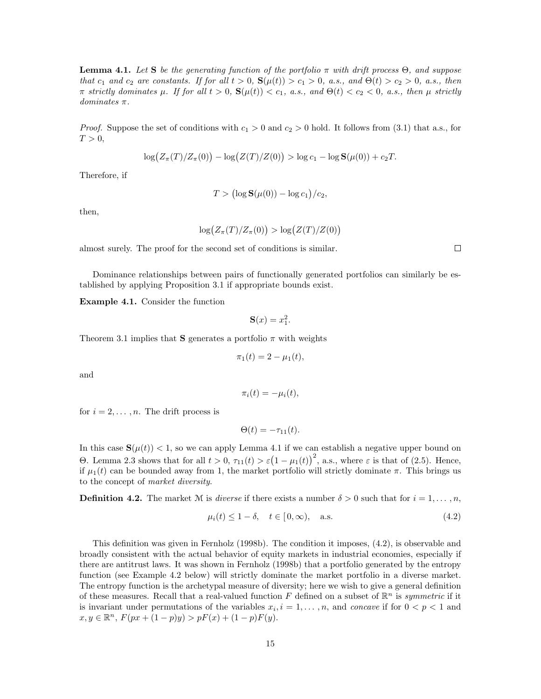**Lemma 4.1.** Let S be the generating function of the portfolio  $\pi$  with drift process  $\Theta$ , and suppose that  $c_1$  and  $c_2$  are constants. If for all  $t > 0$ ,  $S(\mu(t)) > c_1 > 0$ , a.s., and  $\Theta(t) > c_2 > 0$ , a.s., then π strictly dominates  $\mu$ . If for all  $t > 0$ ,  $\mathbf{S}(\mu(t)) < c_1$ , a.s., and  $\Theta(t) < c_2 < 0$ , a.s., then  $\mu$  strictly dominates π.

*Proof.* Suppose the set of conditions with  $c_1 > 0$  and  $c_2 > 0$  hold. It follows from (3.1) that a.s., for  $T > 0$ ,

$$
\log(Z_{\pi}(T)/Z_{\pi}(0)) - \log(Z(T)/Z(0)) > \log c_1 - \log \mathbf{S}(\mu(0)) + c_2 T.
$$

Therefore, if

$$
T > (\log \mathbf{S}(\mu(0)) - \log c_1)/c_2,
$$

then,

$$
\log(Z_{\pi}(T)/Z_{\pi}(0)) > \log(Z(T)/Z(0))
$$

almost surely. The proof for the second set of conditions is similar.

 $\Box$ 

Dominance relationships between pairs of functionally generated portfolios can similarly be established by applying Proposition 3.1 if appropriate bounds exist.

Example 4.1. Consider the function

 $S(x) = x_1^2$ .

Theorem 3.1 implies that **S** generates a portfolio  $\pi$  with weights

$$
\pi_1(t) = 2 - \mu_1(t),
$$

and

$$
\pi_i(t) = -\mu_i(t),
$$

for  $i = 2, \ldots, n$ . The drift process is

 $\Theta(t) = -\tau_{11}(t).$ 

In this case  $\mathbf{S}(\mu(t)) < 1$ , so we can apply Lemma 4.1 if we can establish a negative upper bound on H this case  $B(\mu(t))$  < 1, so we can apply Echilia 4.1 If we can establish a hegative upper bound on Θ. Lemma 2.3 shows that for all  $t > 0$ ,  $τ_{11}(t) > ε(1 - μ_1(t))^2$ , a.s., where  $ε$  is that of (2.5). Hence, if  $\mu_1(t)$  can be bounded away from 1, the market portfolio will strictly dominate  $\pi$ . This brings us to the concept of market diversity.

**Definition 4.2.** The market M is *diverse* if there exists a number  $\delta > 0$  such that for  $i = 1, \ldots, n$ ,

$$
\mu_i(t) \le 1 - \delta, \quad t \in [0, \infty), \quad \text{a.s.} \tag{4.2}
$$

This definition was given in Fernholz (1998b). The condition it imposes, (4.2), is observable and broadly consistent with the actual behavior of equity markets in industrial economies, especially if there are antitrust laws. It was shown in Fernholz (1998b) that a portfolio generated by the entropy function (see Example 4.2 below) will strictly dominate the market portfolio in a diverse market. The entropy function is the archetypal measure of diversity; here we wish to give a general definition of these measures. Recall that a real-valued function F defined on a subset of  $\mathbb{R}^n$  is symmetric if it is invariant under permutations of the variables  $x_i, i = 1, \ldots, n$ , and concave if for  $0 < p < 1$  and  $x, y \in \mathbb{R}^n$ ,  $F(px + (1-p)y) > pF(x) + (1-p)F(y)$ .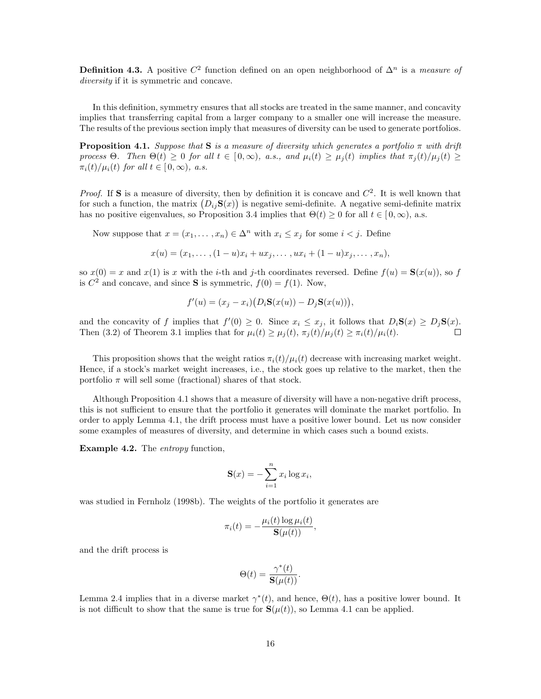**Definition 4.3.** A positive  $C^2$  function defined on an open neighborhood of  $\Delta^n$  is a measure of diversity if it is symmetric and concave.

In this definition, symmetry ensures that all stocks are treated in the same manner, and concavity implies that transferring capital from a larger company to a smaller one will increase the measure. The results of the previous section imply that measures of diversity can be used to generate portfolios.

**Proposition 4.1.** Suppose that **S** is a measure of diversity which generates a portfolio  $\pi$  with drift process  $\Theta$ . Then  $\Theta(t) \geq 0$  for all  $t \in [0,\infty)$ , a.s., and  $\mu_i(t) \geq \mu_i(t)$  implies that  $\pi_i(t)/\mu_i(t) \geq$  $\pi_i(t)/\mu_i(t)$  for all  $t \in [0,\infty)$ , a.s.

*Proof.* If **S** is a measure of diversity, then by definition it is concave and  $C^2$ . It is well known that *Froof.* If S is a measure of diversity, then by definition it is concave and C<sup>-</sup>. It is well known that for such a function, the matrix  $(D_{ij}S(x))$  is negative semi-definite. A negative semi-definite matrix has no positive eigenvalues, so Proposition 3.4 implies that  $\Theta(t) \geq 0$  for all  $t \in [0,\infty)$ , a.s.

Now suppose that  $x = (x_1, \ldots, x_n) \in \Delta^n$  with  $x_i \leq x_j$  for some  $i < j$ . Define

$$
x(u) = (x_1, \ldots, (1-u)x_i + ux_j, \ldots, ux_i + (1-u)x_j, \ldots, x_n),
$$

so  $x(0) = x$  and  $x(1)$  is x with the *i*-th and *j*-th coordinates reversed. Define  $f(u) = S(x(u))$ , so f is  $C^2$  and concave, and since **S** is symmetric,  $f(0) = f(1)$ . Now,

$$
f'(u) = (x_j - x_i)(D_i S(x(u)) - D_j S(x(u))),
$$

and the concavity of f implies that  $f'(0) \geq 0$ . Since  $x_i \leq x_j$ , it follows that  $D_i \mathbf{S}(x) \geq D_j \mathbf{S}(x)$ . Then (3.2) of Theorem 3.1 implies that for  $\mu_i(t) \geq \mu_i(t)$ ,  $\pi_i(t)/\mu_i(t) \geq \pi_i(t)/\mu_i(t)$ .  $\Box$ 

This proposition shows that the weight ratios  $\pi_i(t)/\mu_i(t)$  decrease with increasing market weight. Hence, if a stock's market weight increases, i.e., the stock goes up relative to the market, then the portfolio  $\pi$  will sell some (fractional) shares of that stock.

Although Proposition 4.1 shows that a measure of diversity will have a non-negative drift process, this is not sufficient to ensure that the portfolio it generates will dominate the market portfolio. In order to apply Lemma 4.1, the drift process must have a positive lower bound. Let us now consider some examples of measures of diversity, and determine in which cases such a bound exists.

**Example 4.2.** The *entropy* function,

$$
\mathbf{S}(x) = -\sum_{i=1}^{n} x_i \log x_i,
$$

was studied in Fernholz (1998b). The weights of the portfolio it generates are

$$
\pi_i(t) = -\frac{\mu_i(t) \log \mu_i(t)}{\mathbf{S}(\mu(t))},
$$

and the drift process is

$$
\Theta(t) = \frac{\gamma^*(t)}{\mathbf{S}(\mu(t))}.
$$

Lemma 2.4 implies that in a diverse market  $\gamma^*(t)$ , and hence,  $\Theta(t)$ , has a positive lower bound. It is not difficult to show that the same is true for  $S(\mu(t))$ , so Lemma 4.1 can be applied.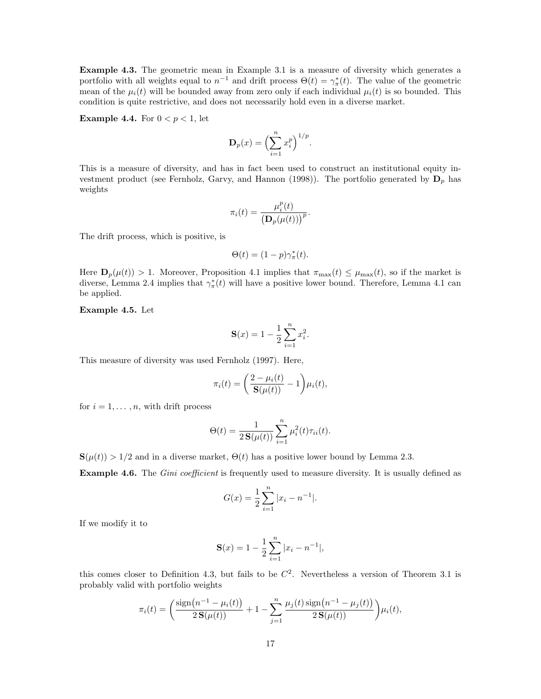Example 4.3. The geometric mean in Example 3.1 is a measure of diversity which generates a portfolio with all weights equal to  $n^{-1}$  and drift process  $\Theta(t) = \gamma_{\pi}^*(t)$ . The value of the geometric mean of the  $\mu_i(t)$  will be bounded away from zero only if each individual  $\mu_i(t)$  is so bounded. This condition is quite restrictive, and does not necessarily hold even in a diverse market.

**Example 4.4.** For  $0 < p < 1$ , let

$$
\mathbf{D}_p(x) = \left(\sum_{i=1}^n x_i^p\right)^{1/p}.
$$

This is a measure of diversity, and has in fact been used to construct an institutional equity investment product (see Fernholz, Garvy, and Hannon (1998)). The portfolio generated by  $\mathbf{D}_p$  has weights

$$
\pi_i(t) = \frac{\mu_i^p(t)}{\left(\mathbf{D}_p(\mu(t))\right)^p}.
$$

The drift process, which is positive, is

$$
\Theta(t) = (1 - p)\gamma_{\pi}^*(t).
$$

Here  $\mathbf{D}_p(\mu(t)) > 1$ . Moreover, Proposition 4.1 implies that  $\pi_{\max}(t) \leq \mu_{\max}(t)$ , so if the market is diverse, Lemma 2.4 implies that  $\gamma^*_{\pi}(t)$  will have a positive lower bound. Therefore, Lemma 4.1 can be applied.

Example 4.5. Let

$$
\mathbf{S}(x) = 1 - \frac{1}{2} \sum_{i=1}^{n} x_i^2.
$$

This measure of diversity was used Fernholz (1997). Here,

$$
\pi_i(t) = \left(\frac{2 - \mu_i(t)}{\mathbf{S}(\mu(t))} - 1\right) \mu_i(t),
$$

for  $i = 1, \ldots, n$ , with drift process

$$
\Theta(t) = \frac{1}{2\,\mathbf{S}(\mu(t))} \sum_{i=1}^{n} \mu_i^2(t)\tau_{ii}(t).
$$

 $\mathbf{S}(\mu(t)) > 1/2$  and in a diverse market,  $\Theta(t)$  has a positive lower bound by Lemma 2.3.

**Example 4.6.** The *Gini coefficient* is frequently used to measure diversity. It is usually defined as

$$
G(x) = \frac{1}{2} \sum_{i=1}^{n} |x_i - n^{-1}|.
$$

If we modify it to

$$
\mathbf{S}(x) = 1 - \frac{1}{2} \sum_{i=1}^{n} |x_i - n^{-1}|,
$$

this comes closer to Definition 4.3, but fails to be  $C^2$ . Nevertheless a version of Theorem 3.1 is probably valid with portfolio weights

$$
\pi_i(t) = \left(\frac{\text{sign}(n^{-1} - \mu_i(t))}{2\,\mathbf{S}(\mu(t))} + 1 - \sum_{j=1}^n \frac{\mu_j(t)\,\text{sign}(n^{-1} - \mu_j(t))}{2\,\mathbf{S}(\mu(t))}\right)\mu_i(t),
$$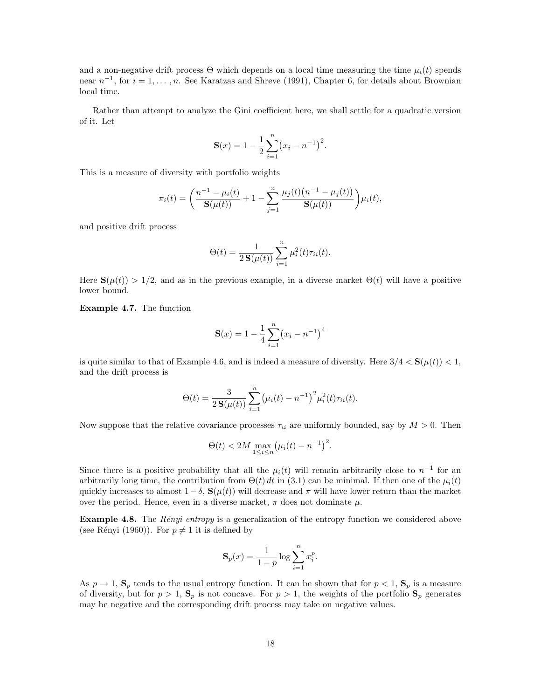and a non-negative drift process  $\Theta$  which depends on a local time measuring the time  $\mu_i(t)$  spends near  $n^{-1}$ , for  $i = 1, ..., n$ . See Karatzas and Shreve (1991), Chapter 6, for details about Brownian local time.

Rather than attempt to analyze the Gini coefficient here, we shall settle for a quadratic version of it. Let

$$
\mathbf{S}(x) = 1 - \frac{1}{2} \sum_{i=1}^{n} (x_i - n^{-1})^2.
$$

This is a measure of diversity with portfolio weights

$$
\pi_i(t) = \left(\frac{n^{-1} - \mu_i(t)}{\mathbf{S}(\mu(t))} + 1 - \sum_{j=1}^n \frac{\mu_j(t)(n^{-1} - \mu_j(t))}{\mathbf{S}(\mu(t))}\right)\mu_i(t),
$$

and positive drift process

$$
\Theta(t) = \frac{1}{2\,\mathbf{S}(\mu(t))} \sum_{i=1}^{n} \mu_i^2(t)\tau_{ii}(t).
$$

Here  $\mathbf{S}(\mu(t)) > 1/2$ , and as in the previous example, in a diverse market  $\Theta(t)$  will have a positive lower bound.

Example 4.7. The function

$$
\mathbf{S}(x) = 1 - \frac{1}{4} \sum_{i=1}^{n} (x_i - n^{-1})^4
$$

is quite similar to that of Example 4.6, and is indeed a measure of diversity. Here  $3/4 < S(\mu(t)) < 1$ , and the drift process is

$$
\Theta(t) = \frac{3}{2\,\mathbf{S}(\mu(t))}\sum_{i=1}^{n} (\mu_i(t) - n^{-1})^2 \mu_i^2(t)\tau_{ii}(t).
$$

Now suppose that the relative covariance processes  $\tau_{ii}$  are uniformly bounded, say by  $M > 0$ . Then

$$
\Theta(t) < 2M \max_{1 \le i \le n} \left( \mu_i(t) - n^{-1} \right)^2.
$$

Since there is a positive probability that all the  $\mu_i(t)$  will remain arbitrarily close to  $n^{-1}$  for an arbitrarily long time, the contribution from  $\Theta(t) dt$  in (3.1) can be minimal. If then one of the  $\mu_i(t)$ quickly increases to almost  $1 - \delta$ ,  $\mathbf{S}(\mu(t))$  will decrease and  $\pi$  will have lower return than the market over the period. Hence, even in a diverse market,  $\pi$  does not dominate  $\mu$ .

**Example 4.8.** The *Rényi entropy* is a generalization of the entropy function we considered above (see Rényi (1960)). For  $p \neq 1$  it is defined by

$$
\mathbf{S}_p(x) = \frac{1}{1-p} \log \sum_{i=1}^n x_i^p.
$$

As  $p \to 1$ ,  $\mathbf{S}_p$  tends to the usual entropy function. It can be shown that for  $p < 1$ ,  $\mathbf{S}_p$  is a measure of diversity, but for  $p > 1$ ,  $S_p$  is not concave. For  $p > 1$ , the weights of the portfolio  $S_p$  generates may be negative and the corresponding drift process may take on negative values.